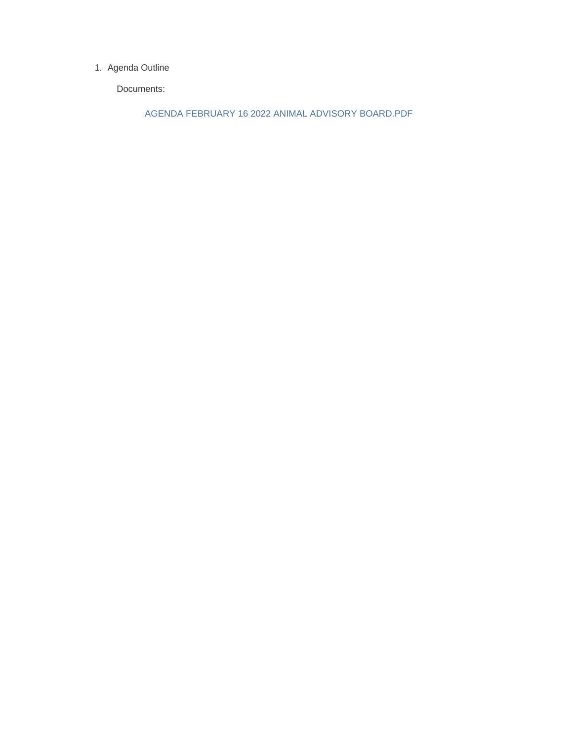#### 1. Agenda Outline

Documents:

AGENDA FEBRUARY 16 2022 ANIMAL ADVISORY BOARD.PDF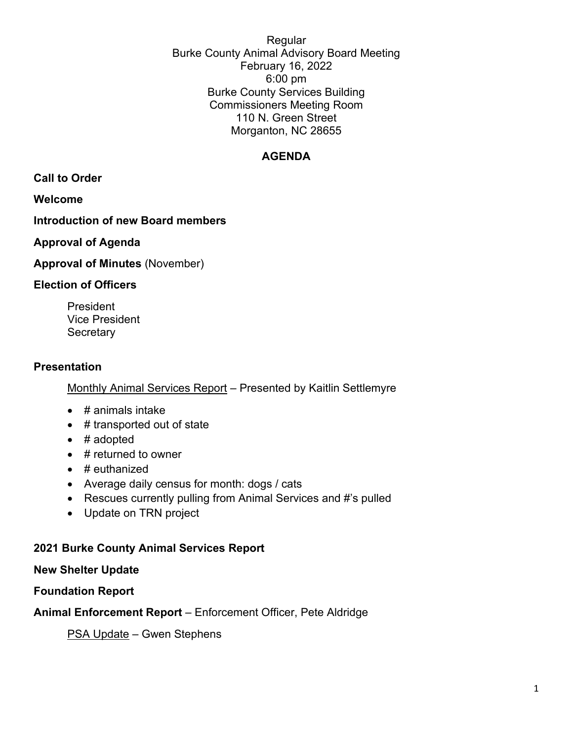Regular Burke County Animal Advisory Board Meeting February 16, 2022 6:00 pm Burke County Services Building Commissioners Meeting Room 110 N. Green Street Morganton, NC 28655

## **AGENDA**

**Call to Order**

**Welcome**

# **Introduction of new Board members**

## **Approval of Agenda**

## **Approval of Minutes** (November)

### **Election of Officers**

President Vice President **Secretary** 

## **Presentation**

## Monthly Animal Services Report – Presented by Kaitlin Settlemyre

- # animals intake
- # transported out of state
- # adopted
- $\bullet$  # returned to owner
- $\bullet$  # euthanized
- Average daily census for month: dogs / cats
- Rescues currently pulling from Animal Services and #'s pulled
- Update on TRN project

## **2021 Burke County Animal Services Report**

#### **New Shelter Update**

**Foundation Report**

**Animal Enforcement Report** – Enforcement Officer, Pete Aldridge

PSA Update – Gwen Stephens